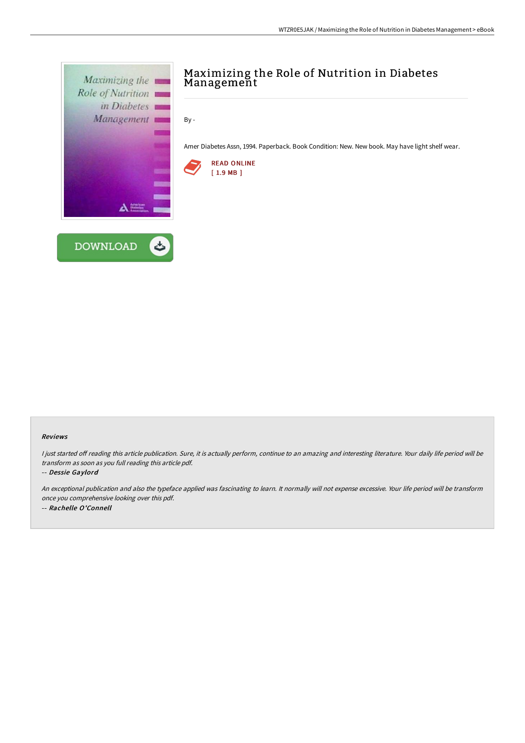

## Reviews

I just started off reading this article publication. Sure, it is actually perform, continue to an amazing and interesting literature. Your daily life period will be transform as soon as you full reading this article pdf.

-- Dessie Gaylord

An exceptional publication and also the typeface applied was fascinating to learn. It normally will not expense excessive. Your life period will be transform once you comprehensive looking over this pdf. -- Rachelle O'Connell